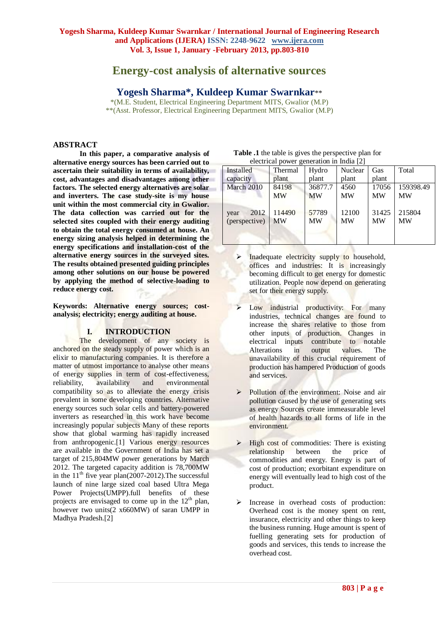# **Energy-cost analysis of alternative sources**

## **Yogesh Sharma\*, Kuldeep Kumar Swarnkar**\*\*

\*(M.E. Student, Electrical Engineering Department MITS, Gwalior (M.P) \*\*(Asst. Professor, Electrical Engineering Department MITS, Gwalior (M.P)

#### **ABSTRACT**

**In this paper, a comparative analysis of alternative energy sources has been carried out to ascertain their suitability in terms of availability, cost, advantages and disadvantages among other factors. The selected energy alternatives are solar and inverters. The case study-site is my house unit within the most commercial city in Gwalior. The data collection was carried out for the selected sites coupled with their energy auditing to obtain the total energy consumed at house. An energy sizing analysis helped in determining the energy specifications and installation-cost of the alternative energy sources in the surveyed sites. The results obtained presented guiding principles among other solutions on our house be powered by applying the method of selective-loading to reduce energy cost.**

**Keywords: Alternative energy sources; costanalysis; electricity; energy auditing at house.**

#### **I. INTRODUCTION**

The development of any society is anchored on the steady supply of power which is an elixir to manufacturing companies. It is therefore a matter of utmost importance to analyse other means of energy supplies in term of cost-effectiveness, reliability, availability and environmental compatibility so as to alleviate the energy crisis prevalent in some developing countries. Alternative energy sources such solar cells and battery-powered inverters as researched in this work have become increasingly popular subjects Many of these reports show that global warming has rapidly increased from anthropogenic.[1] Various energy resources are available in the Government of India has set a target of 215,804MW power generations by March 2012. The targeted capacity addition is 78,700MW in the  $11<sup>th</sup>$  five year plan(2007-2012). The successful launch of nine large sized coal based Ultra Mega Power Projects(UMPP).full benefits of these projects are envisaged to come up in the  $12<sup>th</sup>$  plan, however two units(2 x660MW) of saran UMPP in Madhya Pradesh.[2]

| $e$ electrical power generation in mula $ z $ |                     |                    |                    |                    |                     |
|-----------------------------------------------|---------------------|--------------------|--------------------|--------------------|---------------------|
| Installed                                     | Thermal             | Hydro              | Nuclear            | Gas                | Total               |
| capacity                                      | plant               | plant              | plant              | plant              |                     |
| March 2010                                    | 84198               | 36877.7            | 4560               | 17056              | 159398.49           |
|                                               | <b>MW</b>           | <b>MW</b>          | <b>MW</b>          | <b>MW</b>          | <b>MW</b>           |
| 2012<br>year<br>(perspective)                 | 114490<br><b>MW</b> | 57789<br><b>MW</b> | 12100<br><b>MW</b> | 31425<br><b>MW</b> | 215804<br><b>MW</b> |

| <b>Table .1</b> the table is gives the perspective plan for |
|-------------------------------------------------------------|
| electrical power generation in India [2]                    |

- Inadequate electricity supply to household, offices and industries: It is increasingly becoming difficult to get energy for domestic utilization. People now depend on generating set for their energy supply.
- Low industrial productivity: For many industries, technical changes are found to increase the shares relative to those from other inputs of production. Changes in electrical inputs contribute to notable Alterations in output values. The unavailability of this crucial requirement of production has hampered Production of goods and services.
- Pollution of the environment: Noise and air pollution caused by the use of generating sets as energy Sources create immeasurable level of health hazards to all forms of life in the environment.
- $\triangleright$  High cost of commodities: There is existing relationship between the price of commodities and energy. Energy is part of cost of production; exorbitant expenditure on energy will eventually lead to high cost of the product.
- Increase in overhead costs of production: Overhead cost is the money spent on rent, insurance, electricity and other things to keep the business running. Huge amount is spent of fuelling generating sets for production of goods and services, this tends to increase the overhead cost.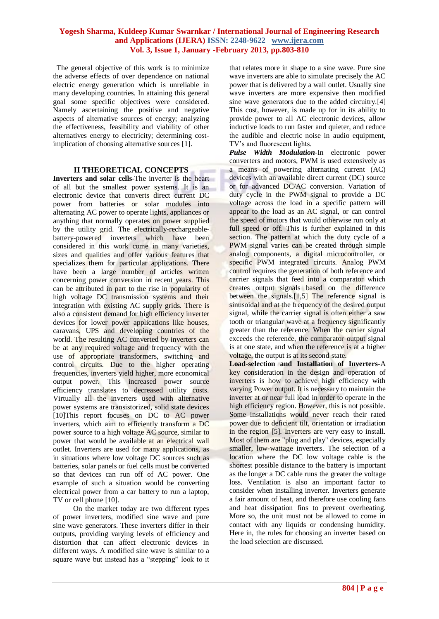The general objective of this work is to minimize the adverse effects of over dependence on national electric energy generation which is unreliable in many developing countries. In attaining this general goal some specific objectives were considered. Namely ascertaining the positive and negative aspects of alternative sources of energy; analyzing the effectiveness, feasibility and viability of other alternatives energy to electricity; determining costimplication of choosing alternative sources [1].

#### **II THEORETICAL CONCEPTS**

**Inverters and solar cells-**The inverter is the heart of all but the smallest power systems. It is an electronic device that converts direct current DC power from batteries or solar modules into alternating AC power to operate lights, appliances or anything that normally operates on power supplied by the utility grid. The electrically-rechargeablebattery-powered inverters which have been considered in this work come in many varieties, sizes and qualities and offer various features that specializes them for particular applications. There have been a large number of articles written concerning power conversion in recent years. This can be attributed in part to the rise in popularity of high voltage DC transmission systems and their integration with existing AC supply grids. There is also a consistent demand for high efficiency inverter devices for lower power applications like houses, caravans, UPS and developing countries of the world. The resulting AC converted by inverters can be at any required voltage and frequency with the use of appropriate transformers, switching and control circuits. Due to the higher operating frequencies, inverters yield higher, more economical output power. This increased power source efficiency translates to decreased utility costs. Virtually all the inverters used with alternative power systems are transistorized, solid state devices [10]This report focuses on DC to AC power inverters, which aim to efficiently transform a DC power source to a high voltage AC source, similar to power that would be available at an electrical wall outlet. Inverters are used for many applications, as in situations where low voltage DC sources such as batteries, solar panels or fuel cells must be converted so that devices can run off of AC power. One example of such a situation would be converting electrical power from a car battery to run a laptop, TV or cell phone [10].

 On the market today are two different types of power inverters, modified sine wave and pure sine wave generators. These inverters differ in their outputs, providing varying levels of efficiency and distortion that can affect electronic devices in different ways. A modified sine wave is similar to a square wave but instead has a "stepping" look to it

that relates more in shape to a sine wave. Pure sine wave inverters are able to simulate precisely the AC power that is delivered by a wall outlet. Usually sine wave inverters are more expensive then modified sine wave generators due to the added circuitry.[4] This cost, however, is made up for in its ability to provide power to all AC electronic devices, allow inductive loads to run faster and quieter, and reduce the audible and electric noise in audio equipment, TV"s and fluorescent lights.

*Pulse Width Modulation-*In electronic power converters and motors, PWM is used extensively as a means of powering alternating current (AC) devices with an available direct current (DC) source or for advanced DC/AC conversion. Variation of duty cycle in the PWM signal to provide a DC voltage across the load in a specific pattern will appear to the load as an AC signal, or can control the speed of motors that would otherwise run only at full speed or off. This is further explained in this section. The pattern at which the duty cycle of a PWM signal varies can be created through simple analog components, a digital microcontroller, or specific PWM integrated circuits. Analog PWM control requires the generation of both reference and carrier signals that feed into a comparator which creates output signals based on the difference between the signals.<sup>[1,5]</sup> The reference signal is sinusoidal and at the frequency of the desired output signal, while the carrier signal is often either a saw tooth or triangular wave at a frequency significantly greater than the reference. When the carrier signal exceeds the reference, the comparator output signal is at one state, and when the reference is at a higher voltage, the output is at its second state.

**Load-selection and Installation of Inverters-**A key consideration in the design and operation of inverters is how to achieve high efficiency with varying Power output. It is necessary to maintain the inverter at or near full load in order to operate in the high efficiency region. However, this is not possible. Some installations would never reach their rated power due to deficient tilt, orientation or irradiation in the region [5]. Inverters are very easy to install. Most of them are "plug and play" devices, especially smaller, low-wattage inverters. The selection of a location where the DC low voltage cable is the shortest possible distance to the battery is important as the longer a DC cable runs the greater the voltage loss. Ventilation is also an important factor to consider when installing inverter. Inverters generate a fair amount of heat, and therefore use cooling fans and heat dissipation fins to prevent overheating. More so, the unit must not be allowed to come in contact with any liquids or condensing humidity. Here in, the rules for choosing an inverter based on the load selection are discussed.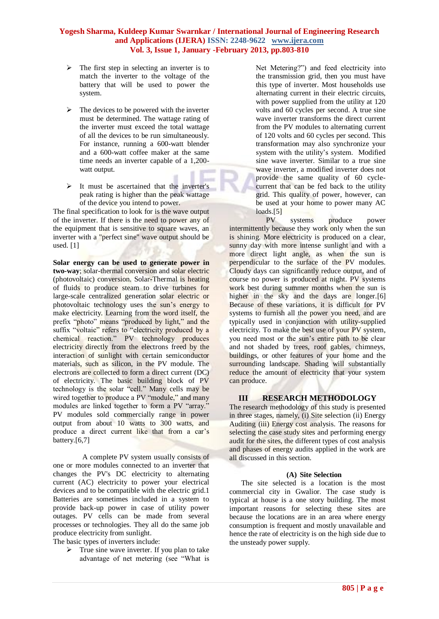- $\triangleright$  The first step in selecting an inverter is to match the inverter to the voltage of the battery that will be used to power the system.
- $\triangleright$  The devices to be powered with the inverter must be determined. The wattage rating of the inverter must exceed the total wattage of all the devices to be run simultaneously. For instance, running a 600-watt blender and a 600-watt coffee maker at the same time needs an inverter capable of a 1,200 watt output.
- $\triangleright$  It must be ascertained that the inverter's peak rating is higher than the peak wattage of the device you intend to power.

The final specification to look for is the wave output of the inverter. If there is the need to power any of the equipment that is sensitive to square waves, an inverter with a "perfect sine" wave output should be used. [1]

**Solar energy can be used to generate power in two-way**; solar-thermal conversion and solar electric (photovoltaic) conversion. Solar-Thermal is heating of fluids to produce steam to drive turbines for large-scale centralized generation solar electric or photovoltaic technology uses the sun"s energy to make electricity. Learning from the word itself, the prefix "photo" means "produced by light," and the suffix "voltaic" refers to "electricity produced by a chemical reaction." PV technology produces electricity directly from the electrons freed by the interaction of sunlight with certain semiconductor materials, such as silicon, in the PV module. The electrons are collected to form a direct current (DC) of electricity. The basic building block of PV technology is the solar "cell." Many cells may be wired together to produce a PV "module," and many modules are linked together to form a PV "array." PV modules sold commercially range in power output from about 10 watts to 300 watts, and produce a direct current like that from a car's battery. $[6,7]$ 

 A complete PV system usually consists of one or more modules connected to an inverter that changes the PV's DC electricity to alternating current (AC) electricity to power your electrical devices and to be compatible with the electric grid.1 Batteries are sometimes included in a system to provide back-up power in case of utility power outages. PV cells can be made from several processes or technologies. They all do the same job produce electricity from sunlight.

The basic types of inverters include:

 $\triangleright$  True sine wave inverter. If you plan to take advantage of net metering (see "What is Net Metering?") and feed electricity into the transmission grid, then you must have this type of inverter. Most households use alternating current in their electric circuits, with power supplied from the utility at 120 volts and 60 cycles per second. A true sine wave inverter transforms the direct current from the PV modules to alternating current of 120 volts and 60 cycles per second. This transformation may also synchronize your system with the utility"s system. Modified sine wave inverter. Similar to a true sine wave inverter, a modified inverter does not provide the same quality of 60 cyclecurrent that can be fed back to the utility grid. This quality of power, however, can be used at your home to power many AC loads.<sup>[5]</sup>

 PV systems produce power intermittently because they work only when the sun is shining. More electricity is produced on a clear, sunny day with more intense sunlight and with a more direct light angle, as when the sun is perpendicular to the surface of the PV modules. Cloudy days can significantly reduce output, and of course no power is produced at night. PV systems work best during summer months when the sun is higher in the sky and the days are longer.[6] Because of these variations, it is difficult for PV systems to furnish all the power you need, and are typically used in conjunction with utility-supplied electricity. To make the best use of your PV system, you need most or the sun"s entire path to be clear and not shaded by trees, roof gables, chimneys, buildings, or other features of your home and the surrounding landscape. Shading will substantially reduce the amount of electricity that your system can produce.

## **III RESEARCH METHODOLOGY**

The research methodology of this study is presented in three stages, namely, (i) Site selection (ii) Energy Auditing (iii) Energy cost analysis. The reasons for selecting the case study sites and performing energy audit for the sites, the different types of cost analysis and phases of energy audits applied in the work are all discussed in this section.

#### **(A) Site Selection**

The site selected is a location is the most commercial city in Gwalior. The case study is typical at house is a one story building. The most important reasons for selecting these sites are because the locations are in an area where energy consumption is frequent and mostly unavailable and hence the rate of electricity is on the high side due to the unsteady power supply.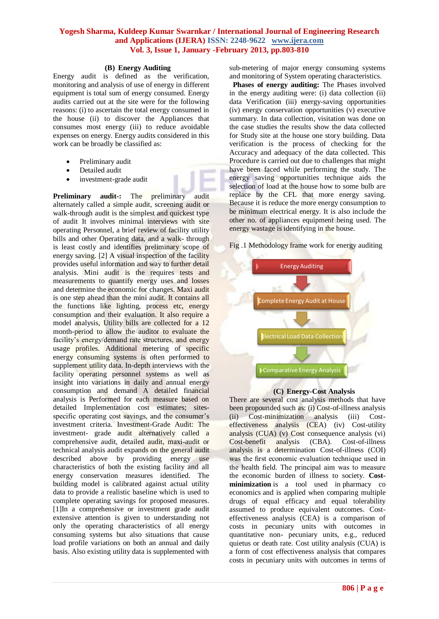#### **(B) Energy Auditing**

Energy audit is defined as the verification, monitoring and analysis of use of energy in different equipment is total sum of energy consumed. Energy audits carried out at the site were for the following reasons: (i) to ascertain the total energy consumed in the house (ii) to discover the Appliances that consumes most energy (iii) to reduce avoidable expenses on energy. Energy audits considered in this work can be broadly be classified as:

- Preliminary audit
- Detailed audit
- investment-grade audit

**Preliminary audit-:** The preliminary audit alternately called a simple audit, screening audit or walk-through audit is the simplest and quickest type of audit It involves minimal interviews with site operating Personnel, a brief review of facility utility bills and other Operating data, and a walk- through is least costly and identifies preliminary scope of energy saving. [2] A visual inspection of the facility provides useful information and way to further detail analysis. Mini audit is the requires tests and measurements to quantify energy uses and losses and determine the economic for changes. Maxi audit is one step ahead than the mini audit. It contains all the functions like lighting, process etc, energy consumption and their evaluation. It also require a model analysis, Utility bills are collected for a 12 month-period to allow the auditor to evaluate the facility's energy/demand rate structures, and energy usage profiles. Additional metering of specific energy consuming systems is often performed to supplement utility data. In-depth interviews with the facility operating personnel systems as well as insight into variations in daily and annual energy consumption and demand A detailed financial analysis is Performed for each measure based on detailed Implementation cost estimates; sitesspecific operating cost savings, and the consumer's investment criteria. Investment-Grade Audit: The investment- grade audit alternatively called a comprehensive audit, detailed audit, maxi-audit or technical analysis audit expands on the general audit described above by providing energy use characteristics of both the existing facility and all energy conservation measures identified. The building model is calibrated against actual utility data to provide a realistic baseline which is used to complete operating savings for proposed measures. [1]In a comprehensive or investment grade audit extensive attention is given to understanding not only the operating characteristics of all energy consuming systems but also situations that cause load profile variations on both an annual and daily basis. Also existing utility data is supplemented with

sub-metering of major energy consuming systems and monitoring of System operating characteristics.

 **Phases of energy auditing:** The Phases involved in the energy auditing were: (i) data collection (ii) data Verification (iii) energy-saving opportunities (iv) energy conservation opportunities (v) executive summary. In data collection, visitation was done on the case studies the results show the data collected for Study site at the house one story building. Data verification is the process of checking for the Accuracy and adequacy of the data collected. This Procedure is carried out due to challenges that might have been faced while performing the study. The energy saving opportunities technique aids the selection of load at the house how to some bulb are replace by the CFL that more energy saving. Because it is reduce the more energy consumption to be minimum electrical energy. It is also include the other no. of appliances equipment being used. The energy wastage is identifying in the house.

Fig .1 Methodology frame work for energy auditing



#### **(C) Energy-Cost Analysis**

There are several cost analysis methods that have been propounded such as: (i) Cost-of-illness analysis (ii) Cost-minimization analysis (iii) Costeffectiveness analysis (CEA) (iv) Cost-utility analysis (CUA) (v) Cost consequence analysis (vi) Cost-benefit analysis (CBA). Cost-of-illness analysis is a determination Cost-of-illness (COI) was the first economic evaluation technique used in the health field. The principal aim was to measure the economic burden of illness to society. **Costminimization** is a tool used in [pharmacy](http://en.wikipedia.org/wiki/Pharmacoeconomics) co [economics](http://en.wikipedia.org/wiki/Pharmacoeconomics) and is applied when comparing multiple drugs of equal efficacy and equal tolerability assumed to produce equivalent outcomes. Costeffectiveness analysis (CEA) is a comparison of costs in pecuniary units with outcomes in quantitative non- pecuniary units, e.g., reduced quietus or death rate. Cost utility analysis (CUA) is a form of cost effectiveness analysis that compares costs in pecuniary units with outcomes in terms of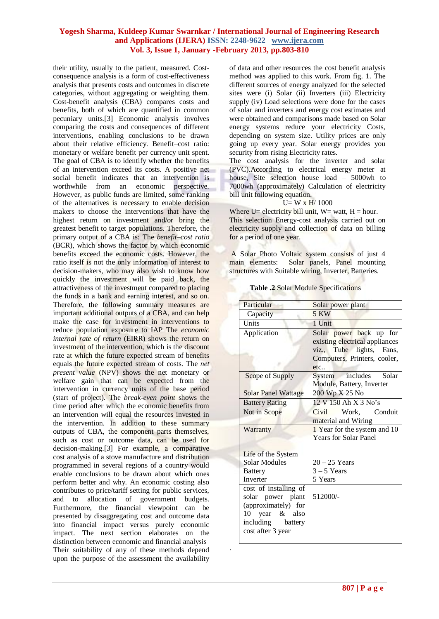.

their utility, usually to the patient, measured. Costconsequence analysis is a form of cost-effectiveness analysis that presents costs and outcomes in discrete categories, without aggregating or weighting them. Cost-benefit analysis (CBA) compares costs and benefits, both of which are quantified in common pecuniary units.[3] Economic analysis involves comparing the costs and consequences of different interventions, enabling conclusions to be drawn about their relative efficiency. Benefit–cost ratio: monetary or welfare benefit per currency unit spent. The goal of CBA is to identify whether the benefits of an intervention exceed its costs. A positive net social benefit indicates that an intervention is worthwhile from an economic perspective. However, as public funds are limited, some ranking of the alternatives is necessary to enable decision makers to choose the interventions that have the highest return on investment and/or bring the greatest benefit to target populations. Therefore, the primary output of a CBA is: The *benefit–cost ratio*  (BCR), which shows the factor by which economic benefits exceed the economic costs. However, the ratio itself is not the only information of interest to decision-makers, who may also wish to know how quickly the investment will be paid back, the attractiveness of the investment compared to placing the funds in a bank and earning interest, and so on. Therefore, the following summary measures are important additional outputs of a CBA, and can help make the case for investment in interventions to reduce population exposure to IAP The *economic internal rate of return* (EIRR) shows the return on investment of the intervention, which is the discount rate at which the future expected stream of benefits equals the future expected stream of costs. The *net present value* (NPV) shows the net monetary or welfare gain that can be expected from the intervention in currency units of the base period (start of project). The *break-even point* shows the time period after which the economic benefits from an intervention will equal the resources invested in the intervention. In addition to these summary outputs of CBA, the component parts themselves, such as cost or outcome data, can be used for decision-making.[3] For example, a comparative cost analysis of a stove manufacture and distribution programmed in several regions of a country would enable conclusions to be drawn about which ones perform better and why. An economic costing also contributes to price/tariff setting for public services, and to allocation of government budgets. Furthermore, the financial viewpoint can be presented by disaggregating cost and outcome data into financial impact versus purely economic impact. The next section elaborates on the distinction between economic and financial analysis Their suitability of any of these methods depend upon the purpose of the assessment the availability

of data and other resources the cost benefit analysis method was applied to this work. From fig. 1. The different sources of energy analyzed for the selected sites were (i) Solar (ii) Inverters (iii) Electricity supply (iv) Load selections were done for the cases of solar and inverters and energy cost estimates and were obtained and comparisons made based on Solar energy systems reduce your electricity Costs, depending on system size. Utility prices are only going up every year. Solar energy provides you security from rising Electricity rates.

The cost analysis for the inverter and solar (PVC).According to electrical energy meter at house, Site selection house load – 5000wh to 7000wh (approximately) Calculation of electricity bill unit following equation.

#### $U= W x H/ 1000$

Where U= electricity bill unit,  $W=$  watt,  $H =$  hour. This selection Energy-cost analysis carried out on electricity supply and collection of data on billing for a period of one year.

A Solar Photo Voltaic system consists of just 4 main elements: Solar panels, Panel mounting structures with Suitable wiring, Inverter, Batteries.

| Particular                 | Solar power plant              |  |  |
|----------------------------|--------------------------------|--|--|
| Capacity                   | <b>5 KW</b>                    |  |  |
| Units                      | 1 Unit                         |  |  |
| Application                | Solar power back up for        |  |  |
|                            | existing electrical appliances |  |  |
|                            | viz., Tube lights, Fans,       |  |  |
|                            | Computers, Printers, cooler,   |  |  |
|                            | etc                            |  |  |
| Scope of Supply            | System includes Solar          |  |  |
|                            | Module, Battery, Inverter      |  |  |
| <b>Solar Panel Wattage</b> | 200 Wp X 25 No                 |  |  |
| <b>Battery Rating</b>      | 12 V 150 Ah X 3 No's           |  |  |
| Not in Scope               | Civil Work, Conduit            |  |  |
|                            | material and Wiring            |  |  |
| Warranty                   | 1 Year for the system and 10   |  |  |
|                            | <b>Years for Solar Panel</b>   |  |  |
|                            |                                |  |  |
| Life of the System         |                                |  |  |
| <b>Solar Modules</b>       | $20 - 25$ Years                |  |  |
| <b>Battery</b>             | $3 - 5$ Years                  |  |  |
| Inverter                   | 5 Years                        |  |  |
| cost of installing of      |                                |  |  |
| solar power plant          | 512000/-                       |  |  |
| (approximately) for        |                                |  |  |
| 10 year & also             |                                |  |  |
| including battery          |                                |  |  |
| cost after 3 year          |                                |  |  |
|                            |                                |  |  |

 **Table .2** Solar Module Specifications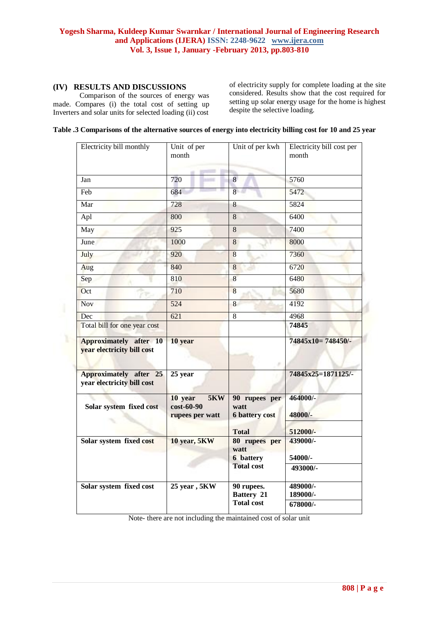## **(IV) RESULTS AND DISCUSSIONS**

Comparison of the sources of energy was made. Compares (i) the total cost of setting up Inverters and solar units for selected loading (ii) cost

of electricity supply for complete loading at the site considered. Results show that the cost required for setting up solar energy usage for the home is highest despite the selective loading.

|  | Table .3 Comparisons of the alternative sources of energy into electricity billing cost for 10 and 25 year |  |  |
|--|------------------------------------------------------------------------------------------------------------|--|--|
|  |                                                                                                            |  |  |

| Electricity bill monthly                                    | Unit of per<br>month                                   | Unit of per kwh                                | Electricity bill cost per<br>month |
|-------------------------------------------------------------|--------------------------------------------------------|------------------------------------------------|------------------------------------|
| Jan                                                         | 720                                                    | 8                                              | 5760                               |
| Feb                                                         | 684                                                    | $\overline{8}$                                 | 5472                               |
| Mar                                                         | 728                                                    | 8                                              | 5824                               |
| Apl                                                         | 800                                                    | $\overline{8}$                                 | 6400                               |
| May                                                         | 925                                                    | $\overline{8}$                                 | 7400                               |
| June                                                        | 1000                                                   | 8                                              | 8000                               |
| July                                                        | 920                                                    | $\overline{8}$                                 | 7360                               |
| Aug                                                         | 840                                                    | 8                                              | 6720                               |
| Sep                                                         | 810                                                    | 8                                              | 6480                               |
| Oct                                                         | 710                                                    | 8                                              | 5680                               |
| <b>Nov</b>                                                  | 524                                                    | 8                                              | 4192                               |
| Dec                                                         | 621                                                    | 8                                              | 4968                               |
| Total bill for one year cost                                |                                                        |                                                | 74845                              |
| <b>Approximately after 10</b><br>year electricity bill cost | 10 year                                                |                                                | 74845x10=748450/-                  |
| Approximately after 25<br>year electricity bill cost        | 25 year                                                |                                                | 74845x25=1871125/-                 |
| Solar system fixed cost                                     | 10 year<br><b>5KW</b><br>cost-60-90<br>rupees per watt | 90 rupees per<br>watt<br><b>6 battery cost</b> | 464000/-<br>48000/-                |
|                                                             |                                                        | <b>Total</b>                                   | 512000/-                           |
| Solar system fixed cost                                     | 10 year, 5KW                                           | 80 rupees per<br>watt                          | 439000/-                           |
|                                                             |                                                        | <b>6</b> battery<br><b>Total cost</b>          | 54000/-                            |
|                                                             |                                                        |                                                | 493000/-                           |
| Solar system fixed cost                                     | 25 year, 5KW                                           | 90 rupees.                                     | 489000/-                           |
|                                                             |                                                        | <b>Battery 21</b><br><b>Total cost</b>         | 189000/-<br>678000/-               |

Note- there are not including the maintained cost of solar unit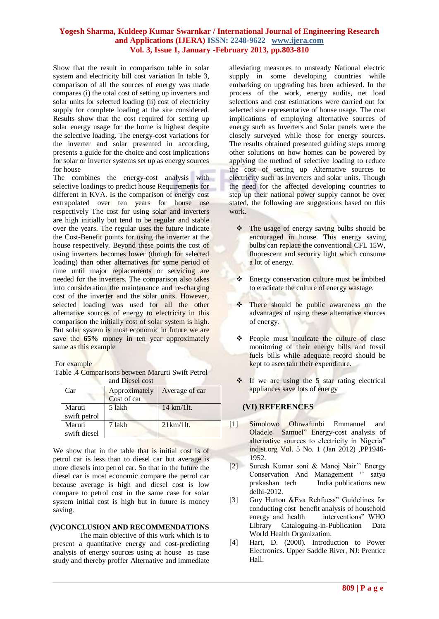Show that the result in comparison table in solar system and electricity bill cost variation In table 3, comparison of all the sources of energy was made compares (i) the total cost of setting up inverters and solar units for selected loading (ii) cost of electricity supply for complete loading at the site considered. Results show that the cost required for setting up solar energy usage for the home is highest despite the selective loading. The energy-cost variations for the inverter and solar presented in according, presents a guide for the choice and cost implications for solar or Inverter systems set up as energy sources for house

The combines the energy-cost analysis with selective loadings to predict house Requirements for different in KVA. Is the comparison of energy cost extrapolated over ten years for house use respectively The cost for using solar and inverters are high initially but tend to be regular and stable over the years. The regular uses the future indicate the Cost-Benefit points for using the inverter at the house respectively. Beyond these points the cost of using inverters becomes lower (though for selected loading) than other alternatives for some period of time until major replacements or servicing are needed for the inverters. The comparison also takes into consideration the maintenance and re-charging cost of the inverter and the solar units. However, selected loading was used for all the other alternative sources of energy to electricity in this comparison the initially cost of solar system is high. But solar system is most economic in future we are save the **65%** money in ten year approximately same as this example

For example

Table .4 Comparisons between Marurti Swift Petrol and Diesel cost

|                        | anu izicaci cust             |                |
|------------------------|------------------------------|----------------|
| Car                    | Approximately<br>Cost of car | Average of car |
| Maruti<br>swift petrol | 5 lakh                       | 14 km/11t.     |
| Maruti<br>swift diesel | 7 lakh                       | $21km/11t$ .   |

We show that in the table that is initial cost is of petrol car is less than to diesel car but average is more diesels into petrol car. So that in the future the diesel car is most economic compare the petrol car because average is high and diesel cost is low compare to petrol cost in the same case for solar system initial cost is high but in future is money saving.

## **(V)CONCLUSION AND RECOMMENDATIONS**

The main objective of this work which is to present a quantitative energy and cost-predicting analysis of energy sources using at house as case study and thereby proffer Alternative and immediate

alleviating measures to unsteady National electric supply in some developing countries while embarking on upgrading has been achieved. In the process of the work, energy audits, net load selections and cost estimations were carried out for selected site representative of house usage. The cost implications of employing alternative sources of energy such as Inverters and Solar panels were the closely surveyed while those for energy sources. The results obtained presented guiding steps among other solutions on how homes can be powered by applying the method of selective loading to reduce the cost of setting up Alternative sources to electricity such as inverters and solar units. Though the need for the affected developing countries to step up their national power supply cannot be over stated, the following are suggestions based on this work.

- \* The usage of energy saving bulbs should be encouraged in house. This energy saving bulbs can replace the conventional CFL 15W, fluorescent and security light which consume a lot of energy.
- ❖ Energy conservation culture must be imbibed to eradicate the culture of energy wastage.
- There should be public awareness on the advantages of using these alternative sources of energy.
- **↑** People must inculcate the culture of close monitoring of their energy bills and fossil fuels bills while adequate record should be kept to ascertain their expenditure.
- $\cdot \cdot$  If we are using the 5 star rating electrical appliances save lots of energy

## **(VI) REFERENCES**

- [1] Simolowo Oluwafunbi Emmanuel and Oladele Samuel" Energy-cost analysis of alternative sources to electricity in Nigeria" indjst.org Vol. 5 No. 1 (Jan 2012) ,PP1946- 1952.
- [2] Suresh Kumar soni & Manoj Nair"" Energy Conservation And Management " satya prakashan tech India publications new delhi-2012.
- [3] Guy Hutton &Eva Rehfuess" Guidelines for conducting cost–benefit analysis of household energy and health interventions" WHO Library Cataloguing-in-Publication Data World Health Organization.
- [4] Hart, D. (2000). Introduction to Power Electronics. Upper Saddle River, NJ: Prentice Hall.